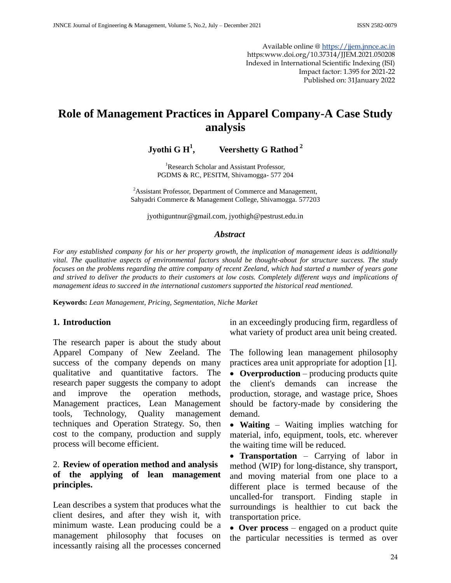Available online @ [https://jjem.jnnce.ac.in](https://jjem.jnnce.ac.in/) https:www.doi.org/10.37314/JJEM.2021.050208 Indexed in International Scientific Indexing (ISI) Impact factor: 1.395 for 2021-22 Published on: 31January 2022

# **Role of Management Practices in Apparel Company-A Case Study analysis**

**Jyothi G H<sup>1</sup> , Veershetty G Rathod <sup>2</sup>**

<sup>1</sup>Research Scholar and Assistant Professor, PGDMS & RC, PESITM, Shivamogga- 577 204

<sup>2</sup>Assistant Professor, Department of Commerce and Management, Sahyadri Commerce & Management College, Shivamogga. 577203

[jyothiguntnur@gmail.com,](mailto:jyothiguntnur@gmail.com) [jyothigh@pestrust.edu.in](mailto:jyothigh@pestrust.edu.in)

#### *Abstract*

*For any established company for his or her property growth, the implication of management ideas is additionally vital. The qualitative aspects of environmental factors should be thought-about for structure success. The study focuses on the problems regarding the attire company of recent Zeeland, which had started a number of years gone and strived to deliver the products to their customers at low costs. Completely different ways and implications of management ideas to succeed in the international customers supported the historical read mentioned.*

**Keywords:** *Lean Management, Pricing, Segmentation, Niche Market*

#### **1. Introduction**

The research paper is about the study about Apparel Company of New Zeeland. The success of the company depends on many qualitative and quantitative factors. The research paper suggests the company to adopt and improve the operation methods, Management practices, Lean Management tools, Technology, Quality management techniques and Operation Strategy. So, then cost to the company, production and supply process will become efficient.

#### 2. **Review of operation method and analysis of the applying of lean management principles.**

Lean describes a system that produces what the client desires, and after they wish it, with minimum waste. Lean producing could be a management philosophy that focuses on incessantly raising all the processes concerned in an exceedingly producing firm, regardless of what variety of product area unit being created.

The following lean management philosophy practices area unit appropriate for adoption [1].

 **Overproduction** – producing products quite the client's demands can increase the production, storage, and wastage price, Shoes should be factory-made by considering the demand.

 **Waiting** – Waiting implies watching for material, info, equipment, tools, etc. wherever the waiting time will be reduced.

• **Transportation** – Carrying of labor in method (WIP) for long-distance, shy transport, and moving material from one place to a different place is termed because of the uncalled-for transport. Finding staple in surroundings is healthier to cut back the transportation price.

 **Over process** – engaged on a product quite the particular necessities is termed as over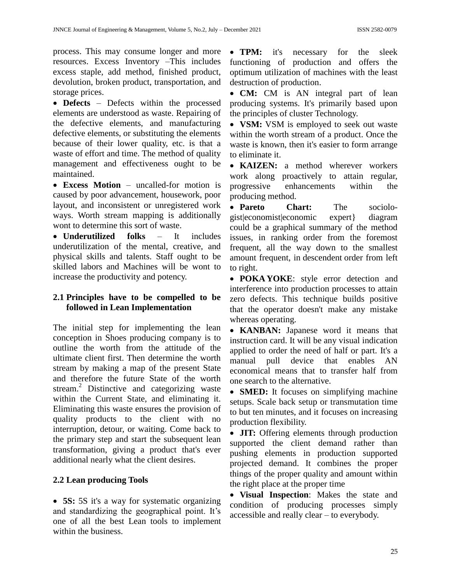process. This may consume longer and more resources. Excess Inventory –This includes excess staple, add method, finished product, devolution, broken product, transportation, and storage prices.

 **Defects** – Defects within the processed elements are understood as waste. Repairing of the defective elements, and manufacturing defective elements, or substituting the elements because of their lower quality, etc. is that a waste of effort and time. The method of quality management and effectiveness ought to be maintained.

 **Excess Motion** – uncalled-for motion is caused by poor advancement, housework, poor layout, and inconsistent or unregistered work ways. Worth stream mapping is additionally wont to determine this sort of waste.

 **Underutilized folks** – It includes underutilization of the mental, creative, and physical skills and talents. Staff ought to be skilled labors and Machines will be wont to increase the productivity and potency.

# **2.1 Principles have to be compelled to be followed in Lean Implementation**

The initial step for implementing the lean conception in Shoes producing company is to outline the worth from the attitude of the ultimate client first. Then determine the worth stream by making a map of the present State and therefore the future State of the worth stream.<sup>2</sup> Distinctive and categorizing waste within the Current State, and eliminating it. Eliminating this waste ensures the provision of quality products to the client with no interruption, detour, or waiting. Come back to the primary step and start the subsequent lean transformation, giving a product that's ever additional nearly what the client desires.

# **2.2 Lean producing Tools**

 **5S:** 5S it's a way for systematic organizing and standardizing the geographical point. It's one of all the best Lean tools to implement within the business.

• **TPM:** it's necessary for the sleek functioning of production and offers the optimum utilization of machines with the least destruction of production.

• **CM:** CM is AN integral part of lean producing systems. It's primarily based upon the principles of cluster Technology.

 **VSM:** VSM is employed to seek out waste within the worth stream of a product. Once the waste is known, then it's easier to form arrange to eliminate it.

 **KAIZEN:** a method wherever workers work along proactively to attain regular, progressive enhancements within the producing method.

 **Pareto Chart:** The sociologist|economist|economic expert} diagram could be a graphical summary of the method issues, in ranking order from the foremost frequent, all the way down to the smallest amount frequent, in descendent order from left to right.

 **POKA YOKE**: style error detection and interference into production processes to attain zero defects. This technique builds positive that the operator doesn't make any mistake whereas operating.

 **KANBAN:** Japanese word it means that instruction card. It will be any visual indication applied to order the need of half or part. It's a manual pull device that enables AN economical means that to transfer half from one search to the alternative.

• **SMED:** It focuses on simplifying machine setups. Scale back setup or transmutation time to but ten minutes, and it focuses on increasing production flexibility.

• **JIT:** Offering elements through production supported the client demand rather than pushing elements in production supported projected demand. It combines the proper things of the proper quality and amount within the right place at the proper time

 **Visual Inspection**: Makes the state and condition of producing processes simply accessible and really clear – to everybody.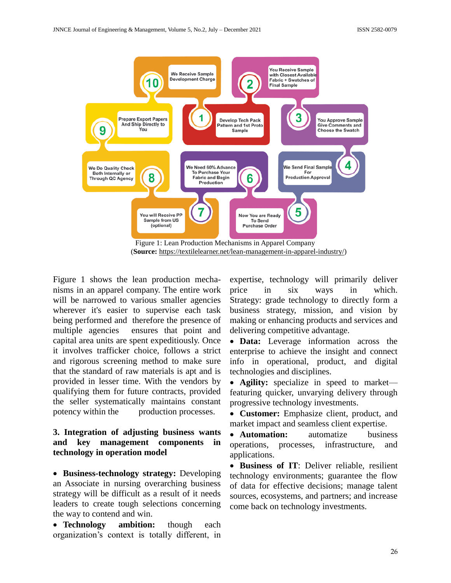

Figure 1 shows the lean production mechanisms in an apparel company. The entire work will be narrowed to various smaller agencies wherever it's easier to supervise each task being performed and therefore the presence of multiple agencies ensures that point and capital area units are spent expeditiously. Once it involves trafficker choice, follows a strict and rigorous screening method to make sure that the standard of raw materials is apt and is provided in lesser time. With the vendors by qualifying them for future contracts, provided the seller systematically maintains constant potency within the production processes.

# **3. Integration of adjusting business wants and key management components in technology in operation model**

 **Business-technology strategy:** Developing an Associate in nursing overarching business strategy will be difficult as a result of it needs leaders to create tough selections concerning the way to contend and win.

 **Technology ambition:** though each organization's context is totally different, in expertise, technology will primarily deliver price in six ways in which. Strategy: grade technology to directly form a business strategy, mission, and vision by making or enhancing products and services and delivering competitive advantage.

 **Data:** Leverage information across the enterprise to achieve the insight and connect info in operational, product, and digital technologies and disciplines.

 **Agility:** specialize in speed to market featuring quicker, unvarying delivery through progressive technology investments.

 **Customer:** Emphasize client, product, and market impact and seamless client expertise.

 **Automation:** automatize business operations, processes, infrastructure, and applications.

 **Business of IT**: Deliver reliable, resilient technology environments; guarantee the flow of data for effective decisions; manage talent sources, ecosystems, and partners; and increase come back on technology investments.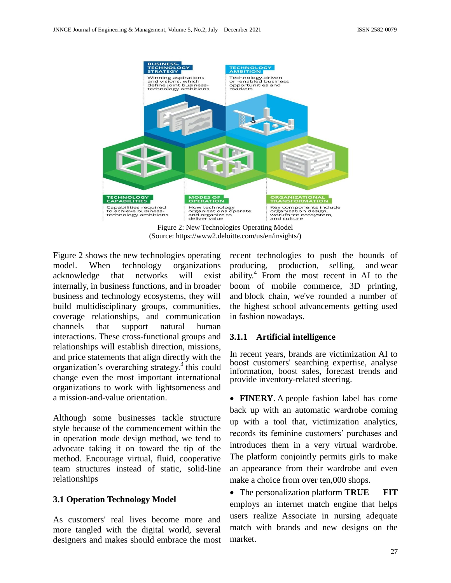

Figure 2: New Technologies Operating Model (Source: https://www2.deloitte.com/us/en/insights/)

Figure 2 shows the new technologies operating model. When technology organizations acknowledge that networks will exist internally, in business functions, and in broader business and technology ecosystems, they will build multidisciplinary groups, communities, coverage relationships, and communication channels that support natural human interactions. These cross-functional groups and relationships will establish direction, missions, and price statements that align directly with the organization's overarching strategy.<sup>3</sup> this could change even the most important international organizations to work with lightsomeness and a mission-and-value orientation.

Although some businesses tackle structure style because of the commencement within the in operation mode design method, we tend to advocate taking it on toward the tip of the method. Encourage virtual, fluid, cooperative team structures instead of static, solid-line relationships

## **3.1 Operation Technology Model**

As customers' real lives become more and more tangled with the digital world, several designers and makes should embrace the most recent technologies to push the bounds of producing, production, selling, and wear ability.<sup>4</sup> From the most recent in AI to the boom of mobile commerce, 3D printing, and block chain, we've rounded a number of the highest school advancements getting used in fashion nowadays.

## **3.1.1 Artificial intelligence**

In recent years, brands are victimization AI to boost customers' searching expertise, analyse information, boost sales, forecast trends and provide inventory-related steering.

 **FINERY**. A people fashion label has come back up with an automatic wardrobe coming up with a tool that, victimization analytics, records its feminine customers' purchases and introduces them in a very virtual wardrobe. The platform conjointly permits girls to make an appearance from their wardrobe and even make a choice from over ten,000 shops.

 The personalization platform **TRUE FIT**  employs an internet match engine that helps users realize Associate in nursing adequate match with brands and new designs on the market.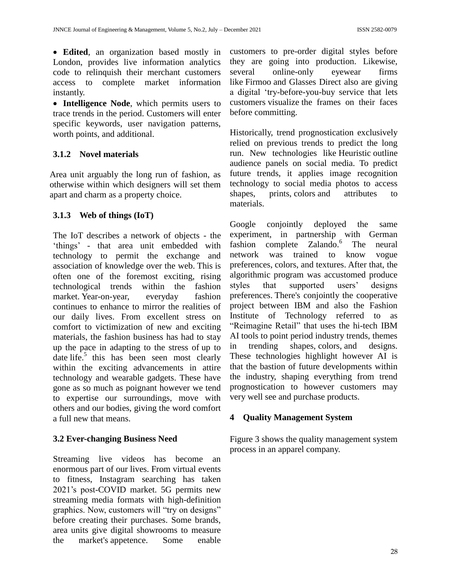**Edited**, an organization based mostly in London, provides live information analytics code to relinquish their merchant customers access to complete market information instantly.

 **Intelligence Node**, which permits users to trace trends in the period. Customers will enter specific keywords, user navigation patterns, worth points, and additional.

# **3.1.2 Novel materials**

Area unit arguably the long run of fashion, as otherwise within which designers will set them apart and charm as a property choice.

# **3.1.3 Web of things (IoT)**

The IoT describes a network of objects - the 'things' - that area unit embedded with technology to permit the exchange and association of knowledge over the web. This is often one of the foremost exciting, rising technological trends within the fashion market. Year-on-year, everyday fashion continues to enhance to mirror the realities of our daily lives. From excellent stress on comfort to victimization of new and exciting materials, the fashion business has had to stay up the pace in adapting to the stress of up to date life.<sup>5</sup> this has been seen most clearly within the exciting advancements in attire technology and wearable gadgets. These have gone as so much as poignant however we tend to expertise our surroundings, move with others and our bodies, giving the word comfort a full new that means.

# **3.2 Ever-changing Business Need**

Streaming live videos has become an enormous part of our lives. From virtual events to fitness, Instagram searching has taken 2021's post-COVID market. 5G permits new streaming media formats with high-definition graphics. Now, customers will "try on designs" before creating their purchases. Some brands, area units give digital showrooms to measure the market's appetence. Some enable customers to pre-order digital styles before they are going into production. Likewise, several online-only eyewear firms like Firmoo and Glasses Direct also are giving a digital 'try-before-you-buy service that lets customers visualize the frames on their faces before committing.

Historically, trend prognostication exclusively relied on previous trends to predict the long run. New technologies like Heuristic outline audience panels on social media. To predict future trends, it applies image recognition technology to social media photos to access shapes, prints, colors and attributes to materials.

Google conjointly deployed the same experiment, in partnership with German fashion complete Zalando.<sup>6</sup> The neural network was trained to know vogue preferences, colors, and textures. After that, the algorithmic program was accustomed produce styles that supported users' designs preferences. There's conjointly the cooperative project between IBM and also the Fashion Institute of Technology referred to as "Reimagine Retail" that uses the hi-tech IBM AI tools to point period industry trends, themes in trending shapes, colors, and designs. These technologies highlight however AI is that the bastion of future developments within the industry, shaping everything from trend prognostication to however customers may very well see and purchase products.

# **4 Quality Management System**

Figure 3 shows the quality management system process in an apparel company.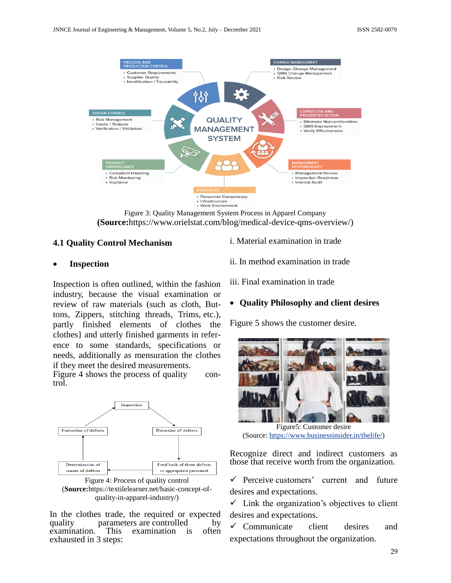

Figure 3: Quality Management System Process in Apparel Company **(Source:**https://www.orielstat.com/blog/medical-device-qms-overview/)

#### **4.1 Quality Control Mechanism**

#### **Inspection**

Inspection is often outlined, within the fashion industry, because the visual examination or review of raw materials (such as cloth, Buttons, Zippers, stitching threads, Trims, etc.), partly finished elements of clothes the clothes} and utterly finished garments in reference to some standards, specifications or needs, additionally as mensuration the clothes if they meet the desired measurements.

Figure 4 shows the process of quality control.



Figure 4: Process of quality control (**Source:**https://textilelearner.net/basic-concept-ofquality-in-apparel-industry/)

In the clothes trade, the required or expected quality parameters are controlled by<br>examination. This examination is often examination. This examination is exhausted in 3 steps:

i. Material examination in trade

ii. In method examination in trade

iii. Final examination in trade

#### **Quality Philosophy and client desires**

Figure 5 shows the customer desire.



Figure5: Customer desire (Source: [https://www.businessinsider.in/thelife/\)](https://www.businessinsider.in/thelife/)

Recognize direct and indirect customers as those that receive worth from the organization.

 $\checkmark$  Perceive customers' current and future desires and expectations.

 $\checkmark$  Link the organization's objectives to client desires and expectations.

 $\checkmark$  Communicate client desires and expectations throughout the organization.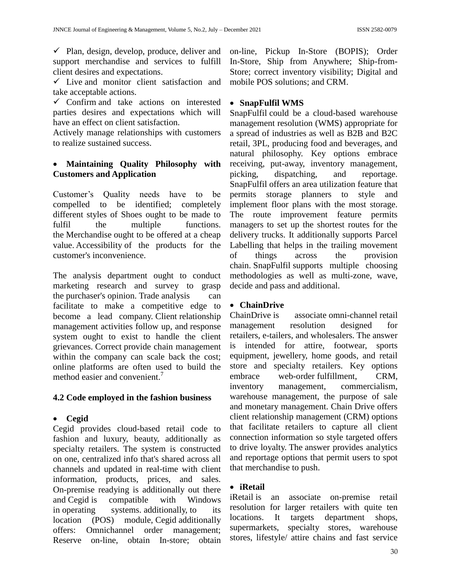$\checkmark$  Plan, design, develop, produce, deliver and support merchandise and services to fulfill client desires and expectations.

 $\checkmark$  Live and monitor client satisfaction and take acceptable actions.

 $\checkmark$  Confirm and take actions on interested parties desires and expectations which will have an effect on client satisfaction.

Actively manage relationships with customers to realize sustained success.

# **Maintaining Quality Philosophy with Customers and Application**

Customer's Quality needs have to be compelled to be identified; completely different styles of Shoes ought to be made to fulfil the multiple functions. the Merchandise ought to be offered at a cheap value. Accessibility of the products for the customer's inconvenience.

The analysis department ought to conduct marketing research and survey to grasp the purchaser's opinion. Trade analysis can facilitate to make a competitive edge to become a lead company. Client relationship management activities follow up, and response system ought to exist to handle the client grievances. Correct provide chain management within the company can scale back the cost; online platforms are often used to build the method easier and convenient.<sup>7</sup>

## **4.2 Code employed in the fashion business**

## **Cegid**

Cegid provides cloud-based retail code to fashion and luxury, beauty, additionally as specialty retailers. The system is constructed on one, centralized info that's shared across all channels and updated in real-time with client information, products, prices, and sales. On-premise readying is additionally out there and Cegid is compatible with Windows in operating systems. additionally, to its location (POS) module, Cegid additionally offers: Omnichannel order management; Reserve on-line, obtain In-store; obtain

on-line, Pickup In-Store (BOPIS); Order In-Store, Ship from Anywhere; Ship-from-Store; correct inventory visibility; Digital and mobile POS solutions; and CRM.

## **SnapFulfil WMS**

SnapFulfil could be a cloud-based warehouse management resolution (WMS) appropriate for a spread of industries as well as B2B and B2C retail, 3PL, producing food and beverages, and natural philosophy. Key options embrace receiving, put-away, inventory management, picking, dispatching, and reportage. SnapFulfil offers an area utilization feature that permits storage planners to style and implement floor plans with the most storage. The route improvement feature permits managers to set up the shortest routes for the delivery trucks. It additionally supports Parcel Labelling that helps in the trailing movement of things across the provision chain. SnapFulfil supports multiple choosing methodologies as well as multi-zone, wave, decide and pass and additional.

## **ChainDrive**

ChainDrive is associate omni-channel retail management resolution designed for retailers, e-tailers, and wholesalers. The answer is intended for attire, footwear, sports equipment, jewellery, home goods, and retail store and specialty retailers. Key options embrace web-order fulfillment, CRM, inventory management, commercialism, warehouse management, the purpose of sale and monetary management. Chain Drive offers client relationship management (CRM) options that facilitate retailers to capture all client connection information so style targeted offers to drive loyalty. The answer provides analytics and reportage options that permit users to spot that merchandise to push.

## **iRetail**

iRetail is an associate on-premise retail resolution for larger retailers with quite ten locations. It targets department shops, supermarkets, specialty stores, warehouse stores, lifestyle/ attire chains and fast service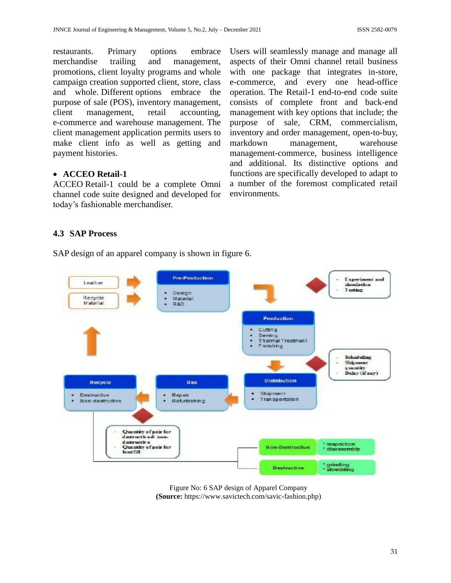restaurants. Primary options embrace merchandise trailing and management, promotions, client loyalty programs and whole campaign creation supported client, store, class and whole. Different options embrace the purpose of sale (POS), inventory management, client management, retail accounting, e-commerce and warehouse management. The client management application permits users to make client info as well as getting and payment histories.

## **ACCEO Retail-1**

ACCEO Retail-1 could be a complete Omni channel code suite designed and developed for today's fashionable merchandiser.

Users will seamlessly manage and manage all aspects of their Omni channel retail business with one package that integrates in-store, e-commerce, and every one head-office operation. The Retail-1 end-to-end code suite consists of complete front and back-end management with key options that include; the purpose of sale, CRM, commercialism, inventory and order management, open-to-buy, markdown management, warehouse management-commerce, business intelligence and additional. Its distinctive options and functions are specifically developed to adapt to a number of the foremost complicated retail environments.

# **4.3 SAP Process**

SAP design of an apparel company is shown in figure 6.



Figure No: 6 SAP design of Apparel Company **(Source:** [https://www.savictech.com/savic-fashion.php\)](https://www.savictech.com/savic-fashion.php)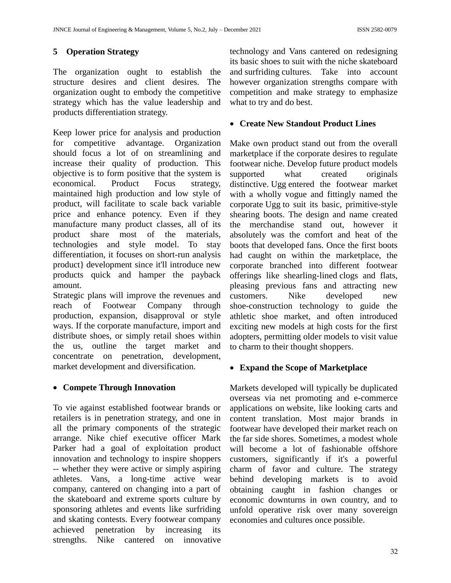# **5 Operation Strategy**

The organization ought to establish the structure desires and client desires. The organization ought to embody the competitive strategy which has the value leadership and products differentiation strategy.

Keep lower price for analysis and production for competitive advantage. Organization should focus a lot of on streamlining and increase their quality of production. This objective is to form positive that the system is economical. Product Focus strategy, maintained high production and low style of product, will facilitate to scale back variable price and enhance potency. Even if they manufacture many product classes, all of its product share most of the materials, technologies and style model. To stay differentiation, it focuses on short-run analysis product} development since it'll introduce new products quick and hamper the payback amount.

Strategic plans will improve the revenues and reach of Footwear Company through production, expansion, disapproval or style ways. If the corporate manufacture, import and distribute shoes, or simply retail shoes within the us, outline the target market and concentrate on penetration, development, market development and diversification.

## **Compete Through Innovation**

To vie against established footwear brands or retailers is in penetration strategy, and one in all the primary components of the strategic arrange. Nike chief executive officer Mark Parker had a goal of exploitation product innovation and technology to inspire shoppers -- whether they were active or simply aspiring athletes. Vans, a long-time active wear company, cantered on changing into a part of the skateboard and extreme sports culture by sponsoring athletes and events like surfriding and skating contests. Every footwear company achieved penetration by increasing its strengths. Nike cantered on innovative

technology and Vans cantered on redesigning its basic shoes to suit with the niche skateboard and surfriding cultures. Take into account however organization strengths compare with competition and make strategy to emphasize what to try and do best.

# **Create New Standout Product Lines**

Make own product stand out from the overall marketplace if the corporate desires to regulate footwear niche. Develop future product models supported what created originals distinctive. Ugg entered the footwear market with a wholly vogue and fittingly named the corporate Ugg to suit its basic, primitive-style shearing boots. The design and name created the merchandise stand out, however it absolutely was the comfort and heat of the boots that developed fans. Once the first boots had caught on within the marketplace, the corporate branched into different footwear offerings like shearling-lined clogs and flats, pleasing previous fans and attracting new customers. Nike developed new shoe-construction technology to guide the athletic shoe market, and often introduced exciting new models at high costs for the first adopters, permitting older models to visit value to charm to their thought shoppers.

# **Expand the Scope of Marketplace**

Markets developed will typically be duplicated overseas via net promoting and e-commerce applications on website, like looking carts and content translation. Most major brands in footwear have developed their market reach on the far side shores. Sometimes, a modest whole will become a lot of fashionable offshore customers, significantly if it's a powerful charm of favor and culture. The strategy behind developing markets is to avoid obtaining caught in fashion changes or economic downturns in own country, and to unfold operative risk over many sovereign economies and cultures once possible.